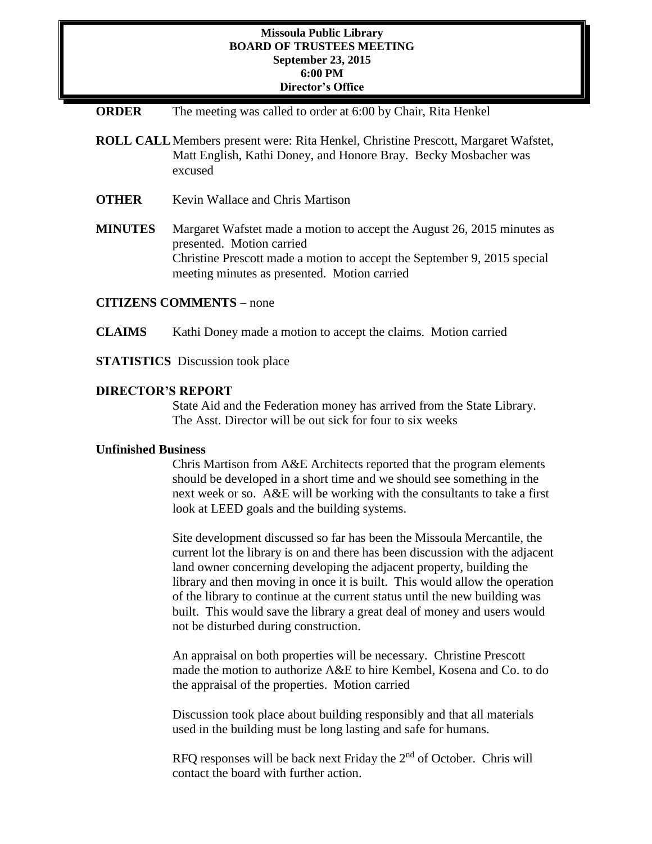### **Missoula Public Library BOARD OF TRUSTEES MEETING September 23, 2015 6:00 PM Director's Office**

- **ORDER** The meeting was called to order at 6:00 by Chair, Rita Henkel
- **ROLL CALL**Members present were: Rita Henkel, Christine Prescott, Margaret Wafstet, Matt English, Kathi Doney, and Honore Bray. Becky Mosbacher was excused
- **OTHER** Kevin Wallace and Chris Martison
- **MINUTES** Margaret Wafstet made a motion to accept the August 26, 2015 minutes as presented. Motion carried Christine Prescott made a motion to accept the September 9, 2015 special meeting minutes as presented. Motion carried

### **CITIZENS COMMENTS** – none

- **CLAIMS** Kathi Doney made a motion to accept the claims. Motion carried
- **STATISTICS** Discussion took place

#### **DIRECTOR'S REPORT**

State Aid and the Federation money has arrived from the State Library. The Asst. Director will be out sick for four to six weeks

#### **Unfinished Business**

Chris Martison from A&E Architects reported that the program elements should be developed in a short time and we should see something in the next week or so. A&E will be working with the consultants to take a first look at LEED goals and the building systems.

Site development discussed so far has been the Missoula Mercantile, the current lot the library is on and there has been discussion with the adjacent land owner concerning developing the adjacent property, building the library and then moving in once it is built. This would allow the operation of the library to continue at the current status until the new building was built. This would save the library a great deal of money and users would not be disturbed during construction.

An appraisal on both properties will be necessary. Christine Prescott made the motion to authorize A&E to hire Kembel, Kosena and Co. to do the appraisal of the properties. Motion carried

Discussion took place about building responsibly and that all materials used in the building must be long lasting and safe for humans.

RFQ responses will be back next Friday the  $2<sup>nd</sup>$  of October. Chris will contact the board with further action.